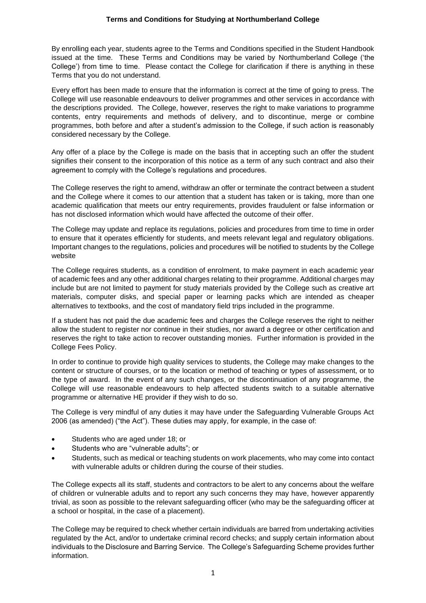By enrolling each year, students agree to the Terms and Conditions specified in the Student Handbook issued at the time. These Terms and Conditions may be varied by Northumberland College ('the College') from time to time. Please contact the College for clarification if there is anything in these Terms that you do not understand.

Every effort has been made to ensure that the information is correct at the time of going to press. The College will use reasonable endeavours to deliver programmes and other services in accordance with the descriptions provided. The College, however, reserves the right to make variations to programme contents, entry requirements and methods of delivery, and to discontinue, merge or combine programmes, both before and after a student's admission to the College, if such action is reasonably considered necessary by the College.

Any offer of a place by the College is made on the basis that in accepting such an offer the student signifies their consent to the incorporation of this notice as a term of any such contract and also their agreement to comply with the College's regulations and procedures.

The College reserves the right to amend, withdraw an offer or terminate the contract between a student and the College where it comes to our attention that a student has taken or is taking, more than one academic qualification that meets our entry requirements, provides fraudulent or false information or has not disclosed information which would have affected the outcome of their offer.

The College may update and replace its regulations, policies and procedures from time to time in order to ensure that it operates efficiently for students, and meets relevant legal and regulatory obligations. Important changes to the regulations, policies and procedures will be notified to students by the College website

The College requires students, as a condition of enrolment, to make payment in each academic year of academic fees and any other additional charges relating to their programme. Additional charges may include but are not limited to payment for study materials provided by the College such as creative art materials, computer disks, and special paper or learning packs which are intended as cheaper alternatives to textbooks, and the cost of mandatory field trips included in the programme.

If a student has not paid the due academic fees and charges the College reserves the right to neither allow the student to register nor continue in their studies, nor award a degree or other certification and reserves the right to take action to recover outstanding monies. Further information is provided in the College Fees Policy.

In order to continue to provide high quality services to students, the College may make changes to the content or structure of courses, or to the location or method of teaching or types of assessment, or to the type of award. In the event of any such changes, or the discontinuation of any programme, the College will use reasonable endeavours to help affected students switch to a suitable alternative programme or alternative HE provider if they wish to do so.

The College is very mindful of any duties it may have under the Safeguarding Vulnerable Groups Act 2006 (as amended) ("the Act"). These duties may apply, for example, in the case of:

- Students who are aged under 18; or
- Students who are "vulnerable adults"; or
- Students, such as medical or teaching students on work placements, who may come into contact with vulnerable adults or children during the course of their studies.

The College expects all its staff, students and contractors to be alert to any concerns about the welfare of children or vulnerable adults and to report any such concerns they may have, however apparently trivial, as soon as possible to the relevant safeguarding officer (who may be the safeguarding officer at a school or hospital, in the case of a placement).

The College may be required to check whether certain individuals are barred from undertaking activities regulated by the Act, and/or to undertake criminal record checks; and supply certain information about individuals to the Disclosure and Barring Service. The College's Safeguarding Scheme provides further information.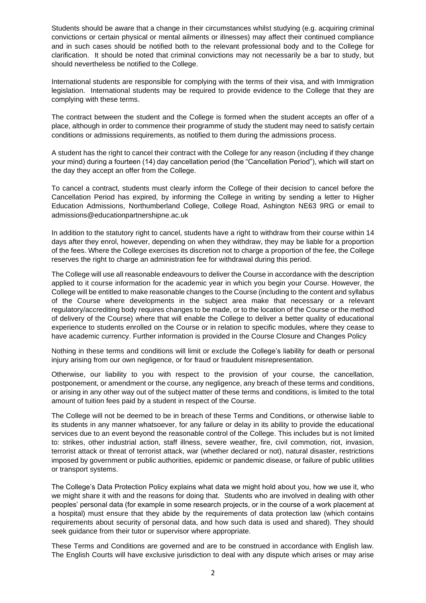Students should be aware that a change in their circumstances whilst studying (e.g. acquiring criminal convictions or certain physical or mental ailments or illnesses) may affect their continued compliance and in such cases should be notified both to the relevant professional body and to the College for clarification. It should be noted that criminal convictions may not necessarily be a bar to study, but should nevertheless be notified to the College.

International students are responsible for complying with the terms of their visa, and with Immigration legislation. International students may be required to provide evidence to the College that they are complying with these terms.

The contract between the student and the College is formed when the student accepts an offer of a place, although in order to commence their programme of study the student may need to satisfy certain conditions or admissions requirements, as notified to them during the admissions process.

A student has the right to cancel their contract with the College for any reason (including if they change your mind) during a fourteen (14) day cancellation period (the "Cancellation Period"), which will start on the day they accept an offer from the College.

To cancel a contract, students must clearly inform the College of their decision to cancel before the Cancellation Period has expired, by informing the College in writing by sending a letter to Higher Education Admissions, Northumberland College, College Road, Ashington NE63 9RG or email to admissions@educationpartnershipne.ac.uk

In addition to the statutory right to cancel, students have a right to withdraw from their course within 14 days after they enrol, however, depending on when they withdraw, they may be liable for a proportion of the fees. Where the College exercises its discretion not to charge a proportion of the fee, the College reserves the right to charge an administration fee for withdrawal during this period.

The College will use all reasonable endeavours to deliver the Course in accordance with the description applied to it course information for the academic year in which you begin your Course. However, the College will be entitled to make reasonable changes to the Course (including to the content and syllabus of the Course where developments in the subject area make that necessary or a relevant regulatory/accrediting body requires changes to be made, or to the location of the Course or the method of delivery of the Course) where that will enable the College to deliver a better quality of educational experience to students enrolled on the Course or in relation to specific modules, where they cease to have academic currency. Further information is provided in the Course Closure and Changes Policy

Nothing in these terms and conditions will limit or exclude the College's liability for death or personal injury arising from our own negligence, or for fraud or fraudulent misrepresentation.

Otherwise, our liability to you with respect to the provision of your course, the cancellation, postponement, or amendment or the course, any negligence, any breach of these terms and conditions, or arising in any other way out of the subject matter of these terms and conditions, is limited to the total amount of tuition fees paid by a student in respect of the Course.

The College will not be deemed to be in breach of these Terms and Conditions, or otherwise liable to its students in any manner whatsoever, for any failure or delay in its ability to provide the educational services due to an event beyond the reasonable control of the College. This includes but is not limited to: strikes, other industrial action, staff illness, severe weather, fire, civil commotion, riot, invasion, terrorist attack or threat of terrorist attack, war (whether declared or not), natural disaster, restrictions imposed by government or public authorities, epidemic or pandemic disease, or failure of public utilities or transport systems.

The College's Data Protection Policy explains what data we might hold about you, how we use it, who we might share it with and the reasons for doing that. Students who are involved in dealing with other peoples' personal data (for example in some research projects, or in the course of a work placement at a hospital) must ensure that they abide by the requirements of data protection law (which contains requirements about security of personal data, and how such data is used and shared). They should seek guidance from their tutor or supervisor where appropriate.

These Terms and Conditions are governed and are to be construed in accordance with English law. The English Courts will have exclusive jurisdiction to deal with any dispute which arises or may arise